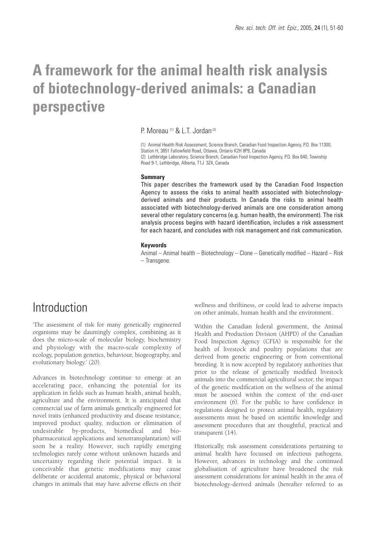# **A framework for the animal health risk analysis of biotechnology-derived animals: a Canadian perspective**

P. Moreau<sup>(1)</sup> & L.T. Jordan<sup>(2)</sup>

(1) Animal Health Risk Assessment, Science Branch, Canadian Food Inspection Agency, P.O. Box 11300, Station H, 3851 Fallowfield Road, Ottawa, Ontario K2H 8P9, Canada (2) Lethbridge Laboratory, Science Branch, Canadian Food Inspection Agency, P.O. Box 640, Township Road 9-1, Lethbridge, Alberta, T1J 3Z4, Canada

#### **Summary**

This paper describes the framework used by the Canadian Food Inspection Agency to assess the risks to animal health associated with biotechnologyderived animals and their products. In Canada the risks to animal health associated with biotechnology-derived animals are one consideration among several other regulatory concerns (e.g. human health, the environment). The risk analysis process begins with hazard identification, includes a risk assessment for each hazard, and concludes with risk management and risk communication.

#### **Keywords**

Animal – Animal health – Biotechnology – Clone – Genetically modified – Hazard – Risk – Transgene.

## Introduction

'The assessment of risk for many genetically engineered organisms may be dauntingly complex, combining as it does the micro-scale of molecular biology, biochemistry and physiology with the macro-scale complexity of ecology, population genetics, behaviour, biogeography, and evolutionary biology.' (20).

Advances in biotechnology continue to emerge at an accelerating pace, enhancing the potential for its application in fields such as human health, animal health, agriculture and the environment. It is anticipated that commercial use of farm animals genetically engineered for novel traits (enhanced productivity and disease resistance, improved product quality, reduction or elimination of undesirable by-products, biomedical and biopharmaceutical applications and xenotransplantation) will soon be a reality. However, such rapidly emerging technologies rarely come without unknown hazards and uncertainty regarding their potential impact. It is conceivable that genetic modifications may cause deliberate or accidental anatomic, physical or behavioral changes in animals that may have adverse effects on their

wellness and thriftiness, or could lead to adverse impacts on other animals, human health and the environment.

Within the Canadian federal government, the Animal Health and Production Division (AHPD) of the Canadian Food Inspection Agency (CFIA) is responsible for the health of livestock and poultry populations that are derived from genetic engineering or from conventional breeding. It is now accepted by regulatory authorities that prior to the release of genetically modified livestock animals into the commercial agricultural sector, the impact of the genetic modification on the wellness of the animal must be assessed within the context of the end-user environment (6). For the public to have confidence in regulations designed to protect animal health, regulatory assessments must be based on scientific knowledge and assessment procedures that are thoughtful, practical and transparent (14).

Historically, risk assessment considerations pertaining to animal health have focussed on infectious pathogens. However, advances in technology and the continued globalisation of agriculture have broadened the risk assessment considerations for animal health in the area of biotechnology-derived animals (hereafter referred to as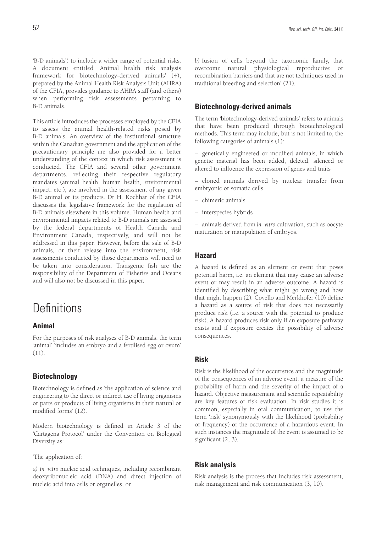'B-D animals') to include a wider range of potential risks. A document entitled 'Animal health risk analysis framework for biotechnology-derived animals' (4), prepared by the Animal Health Risk Analysis Unit (AHRA) of the CFIA, provides guidance to AHRA staff (and others) when performing risk assessments pertaining to B-D animals.

This article introduces the processes employed by the CFIA to assess the animal health-related risks posed by B-D animals. An overview of the institutional structure within the Canadian government and the application of the precautionary principle are also provided for a better understanding of the context in which risk assessment is conducted. The CFIA and several other government departments, reflecting their respective regulatory mandates (animal health, human health, environmental impact, etc.), are involved in the assessment of any given B-D animal or its products. Dr H. Kochhar of the CFIA discusses the legislative framework for the regulation of B-D animals elsewhere in this volume. Human health and environmental impacts related to B-D animals are assessed by the federal departments of Health Canada and Environment Canada, respectively, and will not be addressed in this paper. However, before the sale of B-D animals, or their release into the environment, risk assessments conducted by those departments will need to be taken into consideration. Transgenic fish are the responsibility of the Department of Fisheries and Oceans and will also not be discussed in this paper.

## **Definitions**

### **Animal**

For the purposes of risk analyses of B-D animals, the term 'animal' 'includes an embryo and a fertilised egg or ovum' (11).

## **Biotechnology**

Biotechnology is defined as 'the application of science and engineering to the direct or indirect use of living organisms or parts or products of living organisms in their natural or modified forms' (12).

Modern biotechnology is defined in Article 3 of the 'Cartagena Protocol' under the Convention on Biological Diversity as:

'The application of:

*a) in vitro* nucleic acid techniques, including recombinant deoxyribonucleic acid (DNA) and direct injection of nucleic acid into cells or organelles, or

*b)* fusion of cells beyond the taxonomic family, that overcome natural physiological reproductive or recombination barriers and that are not techniques used in traditional breeding and selection' (21).

### **Biotechnology-derived animals**

The term 'biotechnology-derived animals' refers to animals that have been produced through biotechnological methods. This term may include, but is not limited to, the following categories of animals (1):

– genetically engineered or modified animals, in which genetic material has been added, deleted, silenced or altered to influence the expression of genes and traits

– cloned animals derived by nuclear transfer from embryonic or somatic cells

- chimeric animals
- interspecies hybrids

– animals derived from *in vitro* cultivation, such as oocyte maturation or manipulation of embryos.

### **Hazard**

A hazard is defined as an element or event that poses potential harm, i.e. an element that may cause an adverse event or may result in an adverse outcome. A hazard is identified by describing what might go wrong and how that might happen (2). Covello and Merkhofer (10) define a hazard as a source of risk that does not necessarily produce risk (i.e. a source with the potential to produce risk). A hazard produces risk only if an exposure pathway exists and if exposure creates the possibility of adverse consequences.

## **Risk**

Risk is the likelihood of the occurrence and the magnitude of the consequences of an adverse event: a measure of the probability of harm and the severity of the impact of a hazard. Objective measurement and scientific repeatability are key features of risk evaluation. In risk studies it is common, especially in oral communication, to use the term 'risk' synonymously with the likelihood (probability or frequency) of the occurrence of a hazardous event. In such instances the magnitude of the event is assumed to be significant (2, 3).

### **Risk analysis**

Risk analysis is the process that includes risk assessment, risk management and risk communication (3, 10).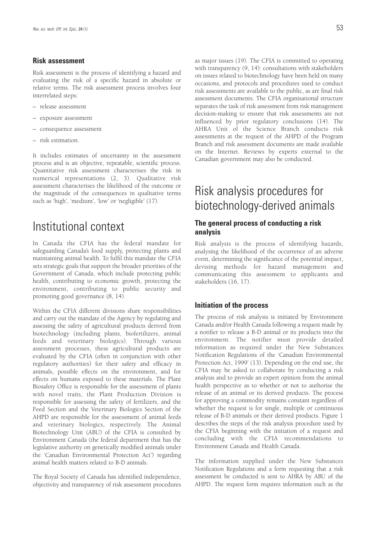### **Risk assessment**

Risk assessment is the process of identifying a hazard and evaluating the risk of a specific hazard in absolute or relative terms. The risk assessment process involves four interrelated steps:

- release assessment
- exposure assessment
- consequence assessment
- risk estimation.

It includes estimates of uncertainty in the assessment process and is an objective, repeatable, scientific process. Quantitative risk assessment characterises the risk in numerical representations (2, 3). Qualitative risk assessment characterises the likelihood of the outcome or the magnitude of the consequences in qualitative terms such as 'high', 'medium', 'low' or 'negligible' (17).

## Institutional context

In Canada the CFIA has the federal mandate for safeguarding Canada's food supply, protecting plants and maintaining animal health. To fulfil this mandate the CFIA sets strategic goals that support the broader priorities of the Government of Canada, which include protecting public health, contributing to economic growth, protecting the environment, contributing to public security and promoting good governance (8, 14).

Within the CFIA different divisions share responsibilities and carry out the mandate of the Agency by regulating and assessing the safety of agricultural products derived from biotechnology (including plants, biofertilizers, animal feeds and veterinary biologics). Through various assessment processes, these agricultural products are evaluated by the CFIA (often in conjunction with other regulatory authorities) for their safety and efficacy in animals, possible effects on the environment, and for effects on humans exposed to these materials. The Plant Biosafety Office is responsible for the assessment of plants with novel traits, the Plant Production Division is responsible for assessing the safety of fertilizers, and the Feed Section and the Veterinary Biologics Section of the AHPD are responsible for the assessment of animal feeds and veterinary biologics, respectively. The Animal Biotechnology Unit (ABU) of the CFIA is consulted by Environment Canada (the federal department that has the legislative authority on genetically modified animals under the 'Canadian Environmental Protection Act') regarding animal health matters related to B-D animals.

The Royal Society of Canada has identified independence, objectivity and transparency of risk assessment procedures as major issues (19). The CFIA is committed to operating with transparency (9, 14): consultations with stakeholders on issues related to biotechnology have been held on many occasions, and protocols and procedures used to conduct risk assessments are available to the public, as are final risk assessment documents. The CFIA organisational structure separates the task of risk assessment from risk management decision-making to ensure that risk assessments are not influenced by prior regulatory conclusions (14). The AHRA Unit of the Science Branch conducts risk assessments at the request of the AHPD of the Program Branch and risk assessment documents are made available on the Internet. Reviews by experts external to the Canadian government may also be conducted.

## Risk analysis procedures for biotechnology-derived animals

## **The general process of conducting a risk analysis**

Risk analysis is the process of identifying hazards, analysing the likelihood of the occurrence of an adverse event, determining the significance of the potential impact, devising methods for hazard management and communicating this assessment to applicants and stakeholders (16, 17).

### **Initiation of the process**

The process of risk analysis is initiated by Environment Canada and/or Health Canada following a request made by a notifier to release a B-D animal or its products into the environment. The notifier must provide detailed information as required under the New Substances Notification Regulations of the 'Canadian Environmental Protection Act, 1999' (13). Depending on the end use, the CFIA may be asked to collaborate by conducting a risk analysis and to provide an expert opinion from the animal health perspective as to whether or not to authorise the release of an animal or its derived products. The process for approving a commodity remains constant regardless of whether the request is for single, multiple or continuous release of B-D animals or their derived products. Figure 1 describes the steps of the risk analysis procedure used by the CFIA beginning with the initiation of a request and concluding with the CFIA recommendations to Environment Canada and Health Canada.

The information supplied under the New Substances Notification Regulations and a form requesting that a risk assessment be conducted is sent to AHRA by ABU of the AHPD. The request form requires information such as the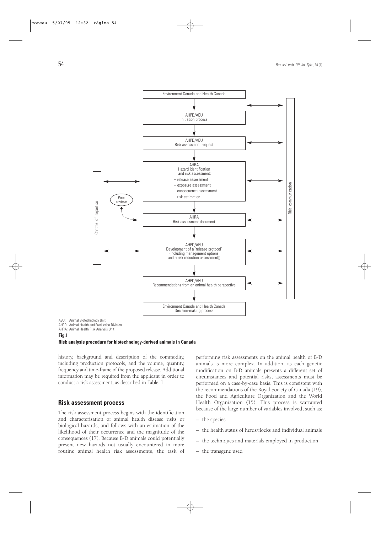

AHPD: Animal Health and Production Division

AHRA: Animal Health Risk Analysis Unit

#### **Fig.1**

#### **Risk analysis procedure for biotechnology-derived animals in Canada**

history, background and description of the commodity, including production protocols, and the volume, quantity, frequency and time-frame of the proposed release. Additional information may be required from the applicant in order to conduct a risk assessment, as described in Table I.

### **Risk assessment process**

The risk assessment process begins with the identification and characterisation of animal health disease risks or biological hazards, and follows with an estimation of the likelihood of their occurrence and the magnitude of the consequences (17). Because B-D animals could potentially present new hazards not usually encountered in more routine animal health risk assessments, the task of performing risk assessments on the animal health of B-D animals is more complex. In addition, as each genetic modification on B-D animals presents a different set of circumstances and potential risks, assessments must be performed on a case-by-case basis. This is consistent with the recommendations of the Royal Society of Canada (19), the Food and Agriculture Organization and the World Health Organization (15). This process is warranted because of the large number of variables involved, such as:

- the species
- the health status of herds/flocks and individual animals
- the techniques and materials employed in production
- the transgene used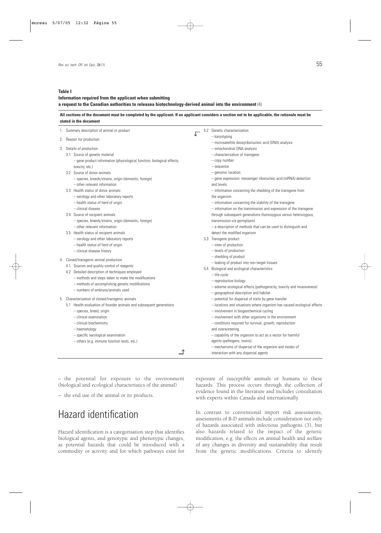#### **Table I**

### **Information required from the applicant when submitting a request to the Canadian authorities to releasea biotechnology-derived animal into the environment** (4)

#### **All sections of the document must be completed by the applicant. If an applicant considers a section not to be applicable, the rationale must be stated in the document**

|    | 1. Summary description of animal or product                             |  | 5.2 Genetic characterisation                                                          |
|----|-------------------------------------------------------------------------|--|---------------------------------------------------------------------------------------|
|    | 2. Reason for production                                                |  | - karyotyping                                                                         |
|    | 3. Details of production                                                |  | - microsatellite deoxyribonucleic acid (DNA) analysis<br>- mitochondrial DNA analysis |
|    | 3.1 Source of genetic material                                          |  | - characterisation of transgene                                                       |
|    | - gene product information (physiological function, biological effects, |  | - copy number                                                                         |
|    | toxicity, etc.)                                                         |  | - sequence                                                                            |
|    | 3.2 Source of donor animals                                             |  | $-$ genomic location                                                                  |
|    | - species, breeds/strains, origin (domestic, foreign)                   |  | - gene expression: messenger ribonucleic acid (mRNA) detection                        |
|    | - other relevant information                                            |  | and levels                                                                            |
|    | 3.3 Health status of donor animals                                      |  | - information concerning the shedding of the transgene from                           |
|    | - serology and other laboratory reports                                 |  | the organism                                                                          |
|    | - health status of herd of origin                                       |  | - information concerning the stability of the transgene                               |
|    | - clinical disease                                                      |  | - information on the transmission and expression of the transgene                     |
|    | 3.4 Source of recipient animals                                         |  | through subsequent generations (homozygous versus heterozygous,                       |
|    | - species, breeds/strains, origin (domestic, foreign)                   |  | transmission via germplasm)                                                           |
|    | - other relevant information                                            |  | $-$ a description of methods that can be used to distinguish and                      |
|    | 3.5 Health status of recipient animals                                  |  | detect the modified organism                                                          |
|    | - serology and other laboratory reports                                 |  | 5.3 Transgene product                                                                 |
|    | - health status of herd of origin                                       |  | - sites of production                                                                 |
|    | - clinical disease history                                              |  | - levels of production                                                                |
| 4. | Cloned/transgenic animal production                                     |  | - shedding of product                                                                 |
|    | 4.1 Sources and quality control of reagents                             |  | - leaking of product into non-target tissues                                          |
|    | 4.2 Detailed description of techniques employed                         |  | 5.4 Biological and ecological characteristics                                         |
|    | - methods and steps taken to make the modifications                     |  | $-$ life cycle                                                                        |
|    | - methods of accomplishing genetic modifications                        |  | - reproductive biology                                                                |
|    | - numbers of embryos/animals used                                       |  | - adverse ecological effects (pathogenicity, toxicity and invasiveness)               |
|    |                                                                         |  | - geographical description and habitat                                                |
|    | 5. Characterisation of cloned/transgenic animals                        |  | - potential for dispersal of traits by gene transfer                                  |
|    | 5.1 Health evaluation of founder animals and subsequent generations     |  | - locations and situations where organism has caused ecological effects               |
|    | - species, breed, origin                                                |  | - involvement in biogeochemical cycling                                               |
|    | $-$ clinical examination                                                |  | - involvement with other organisms in the environment                                 |
|    | - clinical biochemistry                                                 |  | - conditions required for survival, growth, reproduction                              |
|    | - haematology                                                           |  | and overwintering                                                                     |
|    | - specific serological examination                                      |  | - capability of the organism to act as a vector for harmful                           |
|    | - others (e.g. immune function tests, etc.)                             |  | agents (pathogens, toxins)                                                            |
|    |                                                                         |  | - mechanisms of dispersal of the organism and modes of                                |
|    |                                                                         |  | interaction with any dispersal agents                                                 |

– the potential for exposure to the environment (biological and ecological characteristics of the animal)

– the end use of the animal or its products.

## Hazard identification

Hazard identification is a categorisation step that identifies biological agents, and genotypic and phenotypic changes, as potential hazards that could be introduced with a commodity or activity and for which pathways exist for exposure of susceptible animals or humans to these hazards. This process occurs through the collection of evidence found in the literature and includes consultation with experts within Canada and internationally.

In contrast to conventional import risk assessments, assessments of B-D animals include consideration not only of hazards associated with infectious pathogens (3), but also hazards related to the impact of the genetic modification, e.g. the effects on animal health and welfare of any changes in diversity and sustainability that result from the genetic modifications. Criteria to identify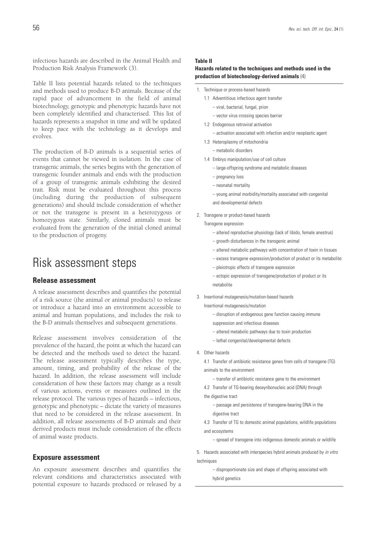infectious hazards are described in the Animal Health and Production Risk Analysis Framework (3).

Table II lists potential hazards related to the techniques and methods used to produce B-D animals. Because of the rapid pace of advancement in the field of animal biotechnology, genotypic and phenotypic hazards have not been completely identified and characterised. This list of hazards represents a snapshot in time and will be updated to keep pace with the technology as it develops and evolves.

The production of B-D animals is a sequential series of events that cannot be viewed in isolation. In the case of transgenic animals, the series begins with the generation of transgenic founder animals and ends with the production of a group of transgenic animals exhibiting the desired trait. Risk must be evaluated throughout this process (including during the production of subsequent generations) and should include consideration of whether or not the transgene is present in a heterozygous or homozygous state. Similarly, cloned animals must be evaluated from the generation of the initial cloned animal to the production of progeny.

## Risk assessment steps

### **Release assessment**

A release assessment describes and quantifies the potential of a risk source (the animal or animal products) to release or introduce a hazard into an environment accessible to animal and human populations, and includes the risk to the B-D animals themselves and subsequent generations.

Release assessment involves consideration of the prevalence of the hazard, the point at which the hazard can be detected and the methods used to detect the hazard. The release assessment typically describes the type, amount, timing, and probability of the release of the hazard. In addition, the release assessment will include consideration of how these factors may change as a result of various actions, events or measures outlined in the release protocol. The various types of hazards – infectious, genotypic and phenotypic – dictate the variety of measures that need to be considered in the release assessment. In addition, all release assessments of B-D animals and their derived products must include consideration of the effects of animal waste products.

#### **Exposure assessment**

An exposure assessment describes and quantifies the relevant conditions and characteristics associated with potential exposure to hazards produced or released by a

#### **Table II**

#### **Hazards related to the techniques and methods used in the production of biotechnology-derived animals** (4)

- 1. Technique or process-based hazards
	- 1.1 Adventitious infectious agent transfer – viral, bacterial, fungal, prion
		- vector virus crossing species barrier
	- 1.2 Endogenous retroviral activation
		- activation associated with infection and/or neoplastic agent
	- 1.3 Heteroplasmy of mitochondria
		- metabolic disorders
	- 1.4 Embryo manipulation/use of cell culture
		- large-offspring syndrome and metabolic diseases
		- pregnancy loss
		- neonatal mortality
		- young animal morbidity/mortality associated with congenital and developmental defects
- 2. Transgene or product-based hazards

Transgene expression

- altered reproductive physiology (lack of libido, female anestrus)
- growth disturbances in the transgenic animal
- altered metabolic pathways with concentration of toxin in tissues
- excess transgene expression/production of product or its metabolite
- pleiotropic effects of transgene expression
- ectopic expression of transgene/production of product or its metabolite
- 3. Insertional mutagenesis/mutation-based hazards

Insertional mutagenesis/mutation

- disruption of endogenous gene function causing immune
- suppression and infectious diseases
- altered metabolic pathways due to toxin production
- lethal congenital/developmental defects
- 4. Other hazards

4.1 Transfer of antibiotic resistance genes from cells of transgene (TG) animals to the environment

- transfer of antibiotic resistance gene to the environment
- 4.2 Transfer of TG-bearing deoxyribonucleic acid (DNA) through the digestive tract
	- passage and persistence of transgene-bearing DNA in the digestive tract
- 4.3 Transfer of TG to domestic animal populations, wildlife populations and ecosystems
	- spread of transgene into indigenous domestic animals or wildlife

5. Hazards associated with interspecies hybrid animals produced by in vitro techniques

> – disproportionate size and shape of offspring associated with hybrid genetics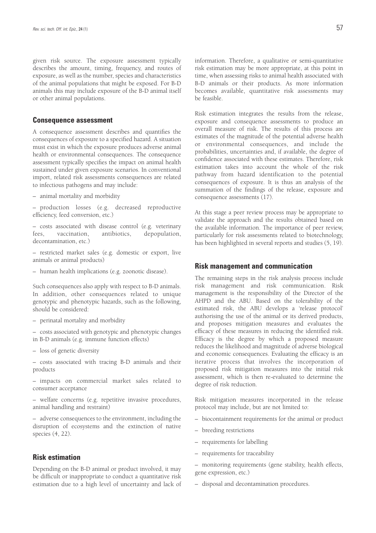given risk source. The exposure assessment typically describes the amount, timing, frequency, and routes of exposure, as well as the number, species and characteristics of the animal populations that might be exposed. For B-D animals this may include exposure of the B-D animal itself or other animal populations.

#### **Consequence assessment**

A consequence assessment describes and quantifies the consequences of exposure to a specified hazard. A situation must exist in which the exposure produces adverse animal health or environmental consequences. The consequence assessment typically specifies the impact on animal health sustained under given exposure scenarios. In conventional import, related risk assessments consequences are related to infectious pathogens and may include:

– animal mortality and morbidity

– production losses (e.g. decreased reproductive efficiency, feed conversion, etc.)

– costs associated with disease control (e.g. veterinary fees, vaccination, antibiotics, depopulation, decontamination, etc.)

- restricted market sales (e.g. domestic or export, live animals or animal products)
- human health implications (e.g. zoonotic disease).

Such consequences also apply with respect to B-D animals. In addition, other consequences related to unique genotypic and phenotypic hazards, such as the following, should be considered:

– costs associated with genotypic and phenotypic changes in B-D animals (e.g. immune function effects)

– loss of genetic diversity

– costs associated with tracing B-D animals and their products

– impacts on commercial market sales related to consumer acceptance

– welfare concerns (e.g. repetitive invasive procedures, animal handling and restraint)

– adverse consequences to the environment, including the disruption of ecosystems and the extinction of native species (4, 22).

## **Risk estimation**

Depending on the B-D animal or product involved, it may be difficult or inappropriate to conduct a quantitative risk estimation due to a high level of uncertainty and lack of information. Therefore, a qualitative or semi-quantitative risk estimation may be more appropriate, at this point in time, when assessing risks to animal health associated with B-D animals or their products. As more information becomes available, quantitative risk assessments may be feasible.

Risk estimation integrates the results from the release, exposure and consequence assessments to produce an overall measure of risk. The results of this process are estimates of the magnitude of the potential adverse health or environmental consequences, and include the probabilities, uncertainties and, if available, the degree of confidence associated with these estimates. Therefore, risk estimation takes into account the whole of the risk pathway from hazard identification to the potential consequences of exposure. It is thus an analysis of the summation of the findings of the release, exposure and consequence assessments (17).

At this stage a peer review process may be appropriate to validate the approach and the results obtained based on the available information. The importance of peer review, particularly for risk assessments related to biotechnology, has been highlighted in several reports and studies (5, 19).

### **Risk management and communication**

The remaining steps in the risk analysis process include risk management and risk communication. Risk management is the responsibility of the Director of the AHPD and the ABU. Based on the tolerability of the estimated risk, the ABU develops a 'release protocol' authorising the use of the animal or its derived products, and proposes mitigation measures and evaluates the efficacy of these measures in reducing the identified risk. Efficacy is the degree by which a proposed measure reduces the likelihood and magnitude of adverse biological and economic consequences. Evaluating the efficacy is an iterative process that involves the incorporation of proposed risk mitigation measures into the initial risk assessment, which is then re-evaluated to determine the degree of risk reduction.

Risk mitigation measures incorporated in the release protocol may include, but are not limited to:

- biocontainment requirements for the animal or product
- breeding restrictions
- requirements for labelling
- requirements for traceability
- monitoring requirements (gene stability, health effects, gene expression, etc.)
- disposal and decontamination procedures.

<sup>–</sup> perinatal mortality and morbidity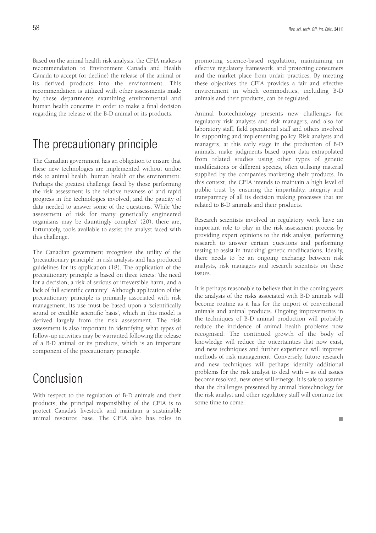Based on the animal health risk analysis, the CFIA makes a recommendation to Environment Canada and Health Canada to accept (or decline) the release of the animal or its derived products into the environment. This recommendation is utilized with other assessments made by these departments examining environmental and human health concerns in order to make a final decision regarding the release of the B-D animal or its products.

## The precautionary principle

The Canadian government has an obligation to ensure that these new technologies are implemented without undue risk to animal health, human health or the environment. Perhaps the greatest challenge faced by those performing the risk assessment is the relative newness of and rapid progress in the technologies involved, and the paucity of data needed to answer some of the questions. While 'the assessment of risk for many genetically engineered organisms may be dauntingly complex' (20), there are, fortunately, tools available to assist the analyst faced with this challenge.

The Canadian government recognises the utility of the 'precautionary principle' in risk analysis and has produced guidelines for its application (18). The application of the precautionary principle is based on three tenets: 'the need for a decision, a risk of serious or irreversible harm, and a lack of full scientific certainty'. Although application of the precautionary principle is primarily associated with risk management, its use must be based upon a 'scientifically sound or credible scientific basis', which in this model is derived largely from the risk assessment. The risk assessment is also important in identifying what types of follow-up activities may be warranted following the release of a B-D animal or its products, which is an important component of the precautionary principle.

## Conclusion

With respect to the regulation of B-D animals and their products, the principal responsibility of the CFIA is to protect Canada's livestock and maintain a sustainable animal resource base. The CFIA also has roles in

promoting science-based regulation, maintaining an effective regulatory framework, and protecting consumers and the market place from unfair practices. By meeting these objectives the CFIA provides a fair and effective environment in which commodities, including B-D animals and their products, can be regulated.

Animal biotechnology presents new challenges for regulatory risk analysts and risk managers, and also for laboratory staff, field operational staff and others involved in supporting and implementing policy. Risk analysts and managers, at this early stage in the production of B-D animals, make judgments based upon data extrapolated from related studies using other types of genetic modifications or different species, often utilising material supplied by the companies marketing their products. In this context, the CFIA intends to maintain a high level of public trust by ensuring the impartiality, integrity and transparency of all its decision making processes that are related to B-D animals and their products.

Research scientists involved in regulatory work have an important role to play in the risk assessment process by providing expert opinions to the risk analyst, performing research to answer certain questions and performing testing to assist in 'tracking' genetic modifications. Ideally, there needs to be an ongoing exchange between risk analysts, risk managers and research scientists on these issues.

It is perhaps reasonable to believe that in the coming years the analysis of the risks associated with B-D animals will become routine as it has for the import of conventional animals and animal products. Ongoing improvements in the techniques of B-D animal production will probably reduce the incidence of animal health problems now recognised. The continued growth of the body of knowledge will reduce the uncertainties that now exist, and new techniques and further experience will improve methods of risk management. Conversely, future research and new techniques will perhaps identify additional problems for the risk analyst to deal with – as old issues become resolved, new ones will emerge. It is safe to assume that the challenges presented by animal biotechnology for the risk analyst and other regulatory staff will continue for some time to come.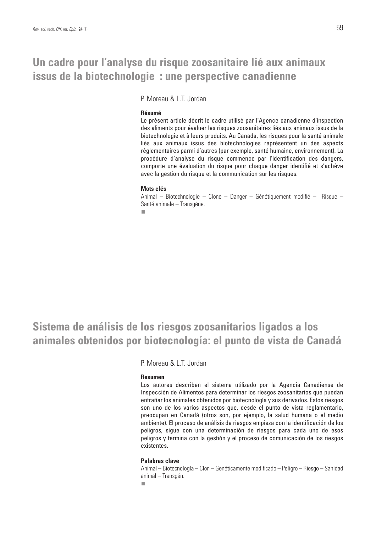## **Un cadre pour l'analyse du risque zoosanitaire lié aux animaux issus de la biotechnologie : une perspective canadienne**

P. Moreau & L.T. Jordan

#### **Résumé**

Le présent article décrit le cadre utilisé par l'Agence canadienne d'inspection des aliments pour évaluer les risques zoosanitaires liés aux animaux issus de la biotechnologie et à leurs produits. Au Canada, les risques pour la santé animale liés aux animaux issus des biotechnologies représentent un des aspects réglementaires parmi d'autres (par exemple, santé humaine, environnement). La procédure d'analyse du risque commence par l'identification des dangers, comporte une évaluation du risque pour chaque danger identifié et s'achève avec la gestion du risque et la communication sur les risques.

#### **Mots clés**

Animal – Biotechnologie – Clone – Danger – Génétiquement modifié – Risque – Santé animale – Transgène.

 $\mathbf{r}$ 

## **Sistema de análisis de los riesgos zoosanitarios ligados a los animales obtenidos por biotecnología: el punto de vista de Canadá**

P. Moreau & L.T. Jordan

### **Resumen**

Los autores describen el sistema utilizado por la Agencia Canadiense de Inspección de Alimentos para determinar los riesgos zoosanitarios que puedan entrañar los animales obtenidos por biotecnología y sus derivados. Estos riesgos son uno de los varios aspectos que, desde el punto de vista reglamentario, preocupan en Canadá (otros son, por ejemplo, la salud humana o el medio ambiente). El proceso de análisis de riesgos empieza con la identificación de los peligros, sigue con una determinación de riesgos para cada uno de esos peligros y termina con la gestión y el proceso de comunicación de los riesgos existentes.

## **Palabras clave**

Animal – Biotecnología – Clon – Genéticamente modificado – Peligro – Riesgo – Sanidad animal – Transgén.n.